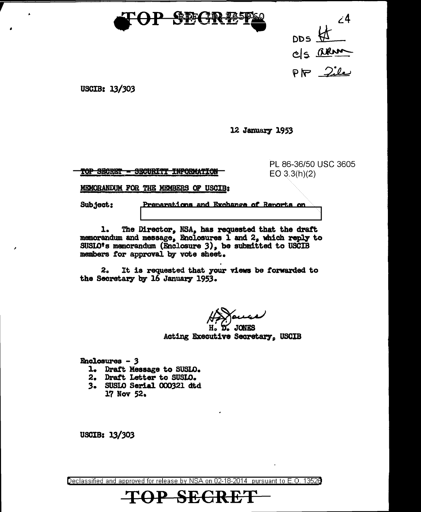

 $\angle$ <sup>4</sup>  $\begin{picture}(180,10) \put(0,0){\line(1,0){15}} \put(10,0){\line(1,0){15}} \put(10,0){\line(1,0){15}} \put(10,0){\line(1,0){15}} \put(10,0){\line(1,0){15}} \put(10,0){\line(1,0){15}} \put(10,0){\line(1,0){15}} \put(10,0){\line(1,0){15}} \put(10,0){\line(1,0){15}} \put(10,0){\line(1,0){15}} \put(10,0){\line(1,0){15}} \put(10,0){\line($ 

USCIB: 13/303

12 January 1953

<u>TOP SECRET - SECURITY INFORMATION</u>

PL 86-36/50 USC 3605  $EO 3.3(h)(2)$ 

MEMORANDUM FOR THE MEMBERS OF USCIB:

Subject:

Preparations and Exchange of Reports on

ı. The Director, NSA, has requested that the draft memorandum and message, Enclosures 1 and 2, which reply to SUSLO<sup>t</sup>s memorandum (Enclosure 3), be submitted to USCIB members for approval by vote sheet.

 $2<sub>o</sub>$ It is requested that your views be forwarded to the Secretary by 16 January 1953.

 $H_0$ ,  $D_2$ , JONES Acting Executive Secretary, USCIB

Enclosures - 3

- 1. Draft Message to SUSLO.
- 2. Draft Letter to SUSLO.
- 3. SUSLO Serial 000321 dtd 17 Nov 52.

USCIB: 13/303

Declassified and approved for release by NSA on 02-18-2014 pursuant to E.O. 13528

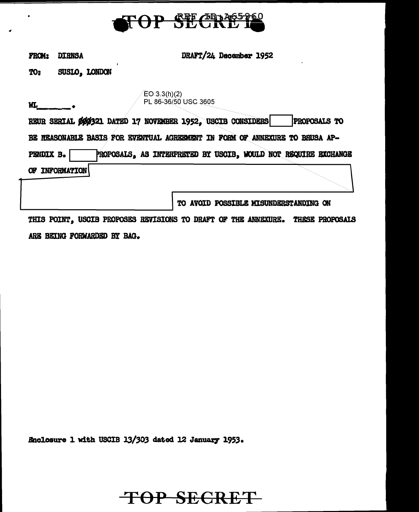

| from: | <b>DIRNSA</b> |
|-------|---------------|
|-------|---------------|

WI.

DRAFT/24 December 1952

SUSLO, LONDON TO:

> $EO 3.3(h)(2)$ PL 86-36/50 USC 3605

| REUR SERIAL ØØØ321 DATED 17 NOVEMBER 1952, USCIB CONSIDERS                  | <b>PROPOSALS TO</b> |
|-----------------------------------------------------------------------------|---------------------|
| BE REASONABLE BASIS FOR EVENTUAL AGREEMENT IN FORM OF ANNEXURE TO BRUSA AP- |                     |
| PROPOSALS, AS INTERPRETED BY USCIB, WOULD NOT REQUIRE EXCHANGE<br>PENDIX B. |                     |
| OF INFORMATION                                                              |                     |

TO AVOID POSSIBLE MISUNDERSTANDING ON

THIS POINT, USCIB PROPOSES REVISIONS TO DRAFT OF THE ANNEXURE. THESE PROPOSALS ARE BEING FORWARDED BY BAG.

Enclosure 1 with USCIB 13/303 dated 12 January 1953.

## **TOP SECRET**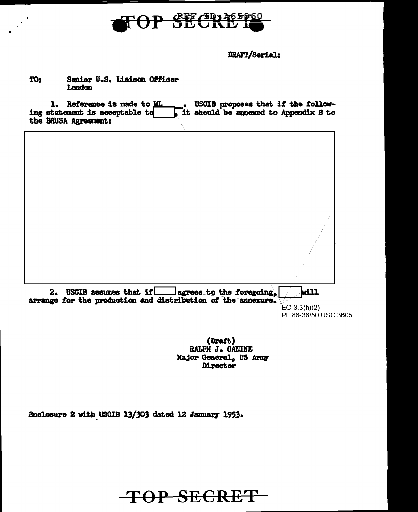

DRAFT/Serial:

## **TO:** Senior U.S. Lisison Officer London

1. Reference is made to WL . USCIB proposes that if the following statement is acceptable to  $\begin{array}{c} 1 \end{array}$  it should be annexed to Appendix B to the BRUSA Agreement:

| USCIB assumes that if ____ lagrees to the foregoing,<br>2.<br>arrange for the production and distribution of the annexure. | Will                                 |
|----------------------------------------------------------------------------------------------------------------------------|--------------------------------------|
|                                                                                                                            | EO 3.3(h)(2)<br>PL 86-36/50 USC 3605 |

(Draft) RALPH J. CANINE Major General, US Army Director

Enclosure 2 with USCIB 13/303 dated 12 January 1953.

**TOP SECRET**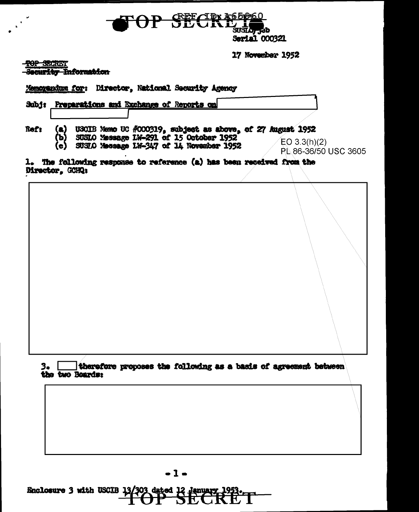

17 November 1952

TOP SECRET

courity Information

| Memorandum for:        |                  |  | Director, National Security Agency                                                  |  |                                                                                                    |  |
|------------------------|------------------|--|-------------------------------------------------------------------------------------|--|----------------------------------------------------------------------------------------------------|--|
| Subj:                  |                  |  | Preparations and Exchange of Reports on                                             |  |                                                                                                    |  |
| Ref:                   | (a)<br>ъ)<br>(c) |  | SUSLO Message 1N-291 of 15 October 1952<br>SUSLO Message LW-347 of 14 November 1952 |  | USCIB Nemo UC #000319, subject as above, of 27 August 1952<br>EO 3.3(h)(2)<br>PL 86-36/50 USC 3605 |  |
| <b>Director, GCHQ:</b> |                  |  |                                                                                     |  | 1. The following response to reference (a) has been received from the                              |  |
|                        |                  |  |                                                                                     |  |                                                                                                    |  |

therefore proposes the following as a basis of agreement between  $3. L$ the two Boards:

 $-1-$ 

Enclosure 3 with USCIB 13/303 dated 12 January 1953.